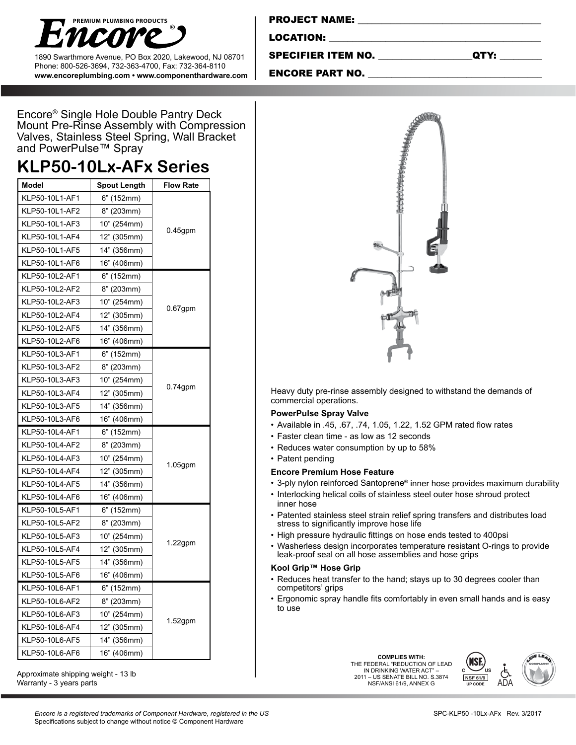

1890 Swarthmore Avenue, PO Box 2020, Lakewood, NJ 08701 Phone: 800-526-3694, 732-363-4700, Fax: 732-364-8110 **www.encoreplumbing.com • www.componenthardware.com**

| <b>PROJECT NAME:</b> |  |
|----------------------|--|
| <b>LOCATION:</b>     |  |
|                      |  |

SPECIFIER ITEM NO. \_\_\_\_\_\_\_\_\_\_\_\_\_\_\_\_\_\_\_\_QTY: \_\_\_\_\_\_\_\_\_

ENCORE PART NO.

Encore® Single Hole Double Pantry Deck Mount Pre-Rinse Assembly with Compression Valves, Stainless Steel Spring, Wall Bracket and PowerPulse™ Spray

# **KLP50-10Lx-AFx Series**

| <b>Model</b>   | <b>Spout Length</b> | <b>Flow Rate</b> |  |
|----------------|---------------------|------------------|--|
| KLP50-10L1-AF1 | 6" (152mm)          |                  |  |
| KLP50-10L1-AF2 | 8" (203mm)          |                  |  |
| KLP50-10L1-AF3 | 10" (254mm)         |                  |  |
| KLP50-10L1-AF4 | 12" (305mm)         | $0.45$ gpm       |  |
| KLP50-10L1-AF5 | 14" (356mm)         |                  |  |
| KLP50-10L1-AF6 | 16" (406mm)         |                  |  |
| KLP50-10L2-AF1 | 6" (152mm)          |                  |  |
| KLP50-10L2-AF2 | 8" (203mm)          |                  |  |
| KLP50-10L2-AF3 | 10" (254mm)         |                  |  |
| KLP50-10L2-AF4 | 12" (305mm)         | $0.67$ gpm       |  |
| KLP50-10L2-AF5 | 14" (356mm)         |                  |  |
| KLP50-10L2-AF6 | 16" (406mm)         |                  |  |
| KLP50-10L3-AF1 | 6" (152mm)          |                  |  |
| KLP50-10L3-AF2 | 8" (203mm)          |                  |  |
| KLP50-10L3-AF3 | 10" (254mm)         | $0.74$ gpm       |  |
| KLP50-10L3-AF4 | 12" (305mm)         |                  |  |
| KLP50-10L3-AF5 | 14" (356mm)         |                  |  |
| KLP50-10L3-AF6 | 16" (406mm)         |                  |  |
| KLP50-10L4-AF1 | 6" (152mm)          |                  |  |
| KLP50-10L4-AF2 | 8" (203mm)          |                  |  |
| KLP50-10L4-AF3 | 10" (254mm)         |                  |  |
| KLP50-10L4-AF4 | 12" (305mm)         | $1.05$ gpm       |  |
| KLP50-10L4-AF5 | 14" (356mm)         |                  |  |
| KLP50-10L4-AF6 | 16" (406mm)         |                  |  |
| KLP50-10L5-AF1 | 6" (152mm)          | $1.22$ gpm       |  |
| KLP50-10L5-AF2 | 8" (203mm)          |                  |  |
| KLP50-10L5-AF3 | 10" (254mm)         |                  |  |
| KLP50-10L5-AF4 | 12" (305mm)         |                  |  |
| KLP50-10L5-AF5 | 14" (356mm)         |                  |  |
| KLP50-10L5-AF6 | 16" (406mm)         |                  |  |
| KLP50-10L6-AF1 | 6" (152mm)          |                  |  |
| KLP50-10L6-AF2 | 8" (203mm)          | $1.52$ gpm       |  |
| KLP50-10L6-AF3 | 10" (254mm)         |                  |  |
| KLP50-10L6-AF4 | 12" (305mm)         |                  |  |
| KLP50-10L6-AF5 | 14" (356mm)         |                  |  |
| KLP50-10L6-AF6 | 16" (406mm)         |                  |  |

Approximate shipping weight - 13 lb Warranty - 3 years parts



Heavy duty pre-rinse assembly designed to withstand the demands of commercial operations.

### **PowerPulse Spray Valve**

- • Available in .45, .67, .74, 1.05, 1.22, 1.52 GPM rated flow rates
- Faster clean time as low as 12 seconds
- Reduces water consumption by up to 58%
- Patent pending

### **Encore Premium Hose Feature**

- 3-ply nylon reinforced Santoprene® inner hose provides maximum durability
- Interlocking helical coils of stainless steel outer hose shroud protect inner hose
- • Patented stainless steel strain relief spring transfers and distributes load stress to significantly improve hose life
- • High pressure hydraulic fittings on hose ends tested to 400psi
- • Washerless design incorporates temperature resistant O-rings to provide leak-proof seal on all hose assemblies and hose grips

### **Kool Grip™ Hose Grip**

- Reduces heat transfer to the hand; stays up to 30 degrees cooler than competitors' grips
- Ergonomic spray handle fits comfortably in even small hands and is easy to use

**COMPLIES WITH:<br>THE FEDERAL "REDUCTION OF LEAD** IN DRINKING WATER ACT" – 2011 – US SENATE BILL NO. S.3874 NSF/ANSI 61/9, ANNEX G